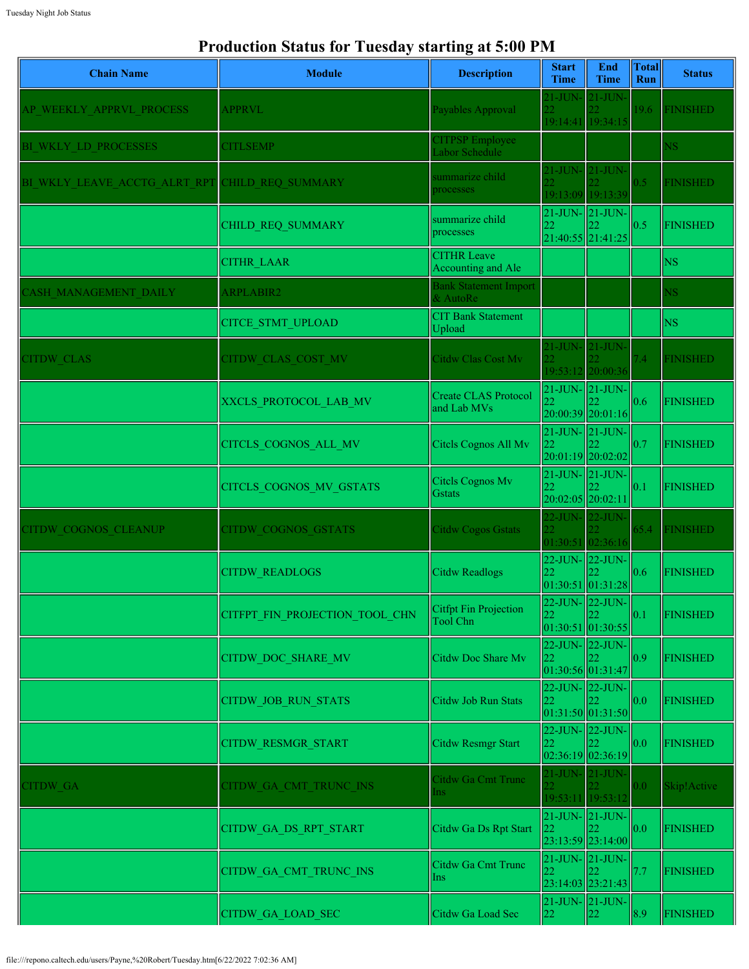## **Production Status for Tuesday starting at 5:00 PM**

| <b>Chain Name</b>            | <b>Module</b>                  | <b>Description</b>                         | <b>Start</b><br><b>Time</b> | End<br><b>Time</b>                                | <b>Total</b><br>Run | <b>Status</b>   |
|------------------------------|--------------------------------|--------------------------------------------|-----------------------------|---------------------------------------------------|---------------------|-----------------|
| AP WEEKLY APPRVL PROCESS     | <b>APPRVL</b>                  | Payables Approval                          |                             | 21-JUN- 21-JUN-<br>19:14:41 19:34:15              | 19.6                | <b>FINISHED</b> |
| BI WKLY LD PROCESSES         | <b>CITLSEMP</b>                | <b>CITPSP</b> Employee<br>Labor Schedule   |                             |                                                   |                     | <b>NS</b>       |
| BI WKLY LEAVE ACCTG ALRT RPT | CHILD REQ SUMMARY              | summarize child<br>processes               |                             | 21-JUN- 21-JUN-<br>19:13:09 19:13:39              | 0.5                 | <b>FINISHED</b> |
|                              | CHILD_REQ_SUMMARY              | summarize child<br>processes               | 22                          | $21$ -JUN- $\vert$ 21-JUN-<br>$21:40:55$ 21:41:25 | 0.5                 | <b>FINISHED</b> |
|                              | <b>CITHR LAAR</b>              | <b>CITHR Leave</b><br>Accounting and Ale   |                             |                                                   |                     | <b>NS</b>       |
| <b>ASH MANAGEMENT DAILY</b>  | <b>ARPLABIR2</b>               | <b>Bank Statement Import</b><br>& AutoRe   |                             |                                                   |                     | <b>NS</b>       |
|                              | <b>CITCE STMT UPLOAD</b>       | <b>CIT Bank Statement</b><br>Upload        |                             |                                                   |                     | <b>NS</b>       |
| <b>CITDW CLAS</b>            | CITDW CLAS COST MV             | Citdw Clas Cost Mv                         |                             | 21-JUN- 21-JUN-<br>19:53:12 20:00:36              | 7.4                 | <b>FINISHED</b> |
|                              | XXCLS PROTOCOL LAB MV          | <b>Create CLAS Protocol</b><br>and Lab MVs | 22                          | $21$ -JUN- $21$ -JUN-<br>$20:00:39$  20:01:16     | 0.6                 | <b>FINISHED</b> |
|                              | CITCLS COGNOS ALL MV           | Citcls Cognos All Mv                       | $ 22\rangle$                | $21$ -JUN- $21$ -JUN-<br>20:01:19 20:02:02        | 0.7                 | <b>FINISHED</b> |
|                              | CITCLS_COGNOS_MV_GSTATS        | Citels Cognos Mv<br><b>G</b> stats         | 22                          | $21$ -JUN- $\vert$ 21-JUN-<br>20:02:05 20:02:11   | 0.1                 | <b>FINISHED</b> |
| <b>CITDW COGNOS CLEANUP</b>  | CITDW COGNOS GSTATS            | <b>Citdw Cogos Gstats</b>                  |                             | 22-JUN- 22-JUN<br>01:30:51 02:36:16               | 65.4                | <b>FINISHED</b> |
|                              | <b>CITDW READLOGS</b>          | <b>Citdw Readlogs</b>                      | 22                          | $22$ -JUN- $\vert$ 22-JUN-<br> 01:30:51 01:31:28  | 0.6                 | <b>FINISHED</b> |
|                              | CITFPT_FIN_PROJECTION_TOOL_CHN | Citfpt Fin Projection<br>Tool Chn          | 22                          | 22-JUN-22-JUN-<br>22<br> 01:30:51 01:30:55        | 0.1                 | <b>FINISHED</b> |
|                              | <b>CITDW DOC SHARE MV</b>      | Citdw Doc Share Mv                         | 22                          | 22-JUN- 22-JUN-<br>01:30:56 01:31:47              | 0.9                 | <b>FINISHED</b> |
|                              | CITDW_JOB_RUN_STATS            | Citdw Job Run Stats                        | 22                          | 22-JUN- 22-JUN-<br> 01:31:50 01:31:50             | 0.0                 | <b>FINISHED</b> |
|                              | <b>CITDW RESMGR START</b>      | Citdw Resmgr Start                         | 22                          | 22-JUN- 22-JUN-<br> 02:36:19 02:36:19             | 0.0                 | <b>FINISHED</b> |
| <b>CITDW GA</b>              | CITDW GA CMT TRUNC INS         | Citdw Ga Cmt Trunc<br>Ins                  |                             | 21-JUN- 21-JUN-<br>19:53:11 19:53:12              | 0.0                 | Skip!Active     |
|                              | CITDW GA DS RPT START          | Citdw Ga Ds Rpt Start                      | 22                          | $21$ -JUN- $21$ -JUN-<br>23:13:59 23:14:00        | 0.0                 | <b>FINISHED</b> |
|                              | CITDW GA CMT TRUNC INS         | Citdw Ga Cmt Trunc<br>Ins                  | 22                          | $21$ -JUN- $21$ -JUN-<br>23:14:03 23:21:43        | 7.7                 | <b>FINISHED</b> |
|                              | <b>CITDW GA LOAD SEC</b>       | Citdw Ga Load Sec                          | 22                          | 21-JUN- 21-JUN-<br>22                             | 8.9                 | <b>FINISHED</b> |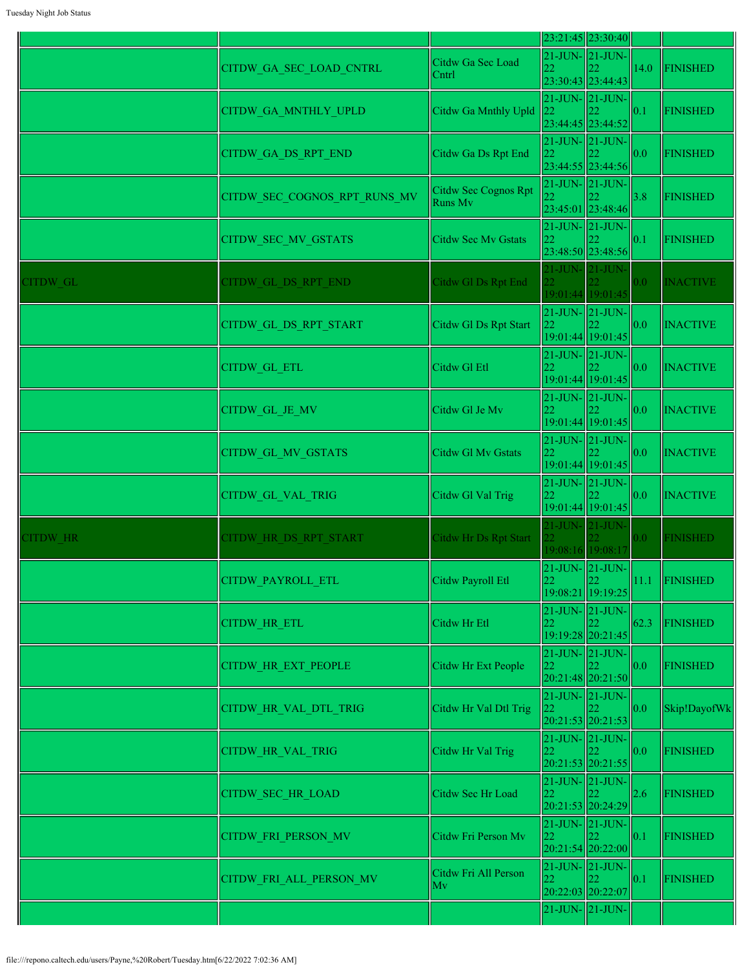|          |                              |                                        |            | $23:21:45$  23:30:40                                                                |                    |                 |
|----------|------------------------------|----------------------------------------|------------|-------------------------------------------------------------------------------------|--------------------|-----------------|
|          | CITDW GA SEC LOAD CNTRL      | Citdw Ga Sec Load<br>Cntrl             |            | $21$ -JUN- $ 21$ -JUN- $ $<br>23:30:43 23:44:43                                     | 14.0               | <b>FINISHED</b> |
|          | <b>CITDW GA MNTHLY UPLD</b>  | Citdw Ga Mnthly Upld                   |            | $\begin{bmatrix} 21 - JUN - 21 - JUN - 22 \\ 22 \end{bmatrix}$<br>23:44:45 23:44:52 | $\vert\vert_{0.1}$ | <b>FINISHED</b> |
|          | CITDW GA DS RPT END          | Citdw Ga Ds Rpt End                    | 22         | $21$ -JUN- $ 21$ -JUN- $ $<br>23:44:55 23:44:56                                     | $\parallel$ 0.0    | <b>FINISHED</b> |
|          | CITDW SEC COGNOS RPT RUNS MV | Citdw Sec Cognos Rpt<br><b>Runs Mv</b> |            | $21$ -JUN- $ 21$ -JUN-<br>23:45:01 23:48:46                                         | 3.8                | <b>FINISHED</b> |
|          | CITDW_SEC_MV_GSTATS          | <b>Citdw Sec Mv Gstats</b>             | 22         | $21$ -JUN- $ 21$ -JUN- $ $<br>23:48:50 23:48:56                                     | 0.1                | <b>FINISHED</b> |
| CITDW GL | CITDW GL DS RPT END          | Citdw Gl Ds Rpt End                    | $21$ -JUN- | $21$ -JUN-<br>19:01:44 19:01:45                                                     | 0.0                | <b>INACTIVE</b> |
|          | CITDW_GL_DS_RPT_START        | Citdw Gl Ds Rpt Start                  | $ _{22}$   | $21$ -JUN- $ 21$ -JUN-<br>19:01:44 19:01:45                                         | $\parallel$ 0.0    | <b>INACTIVE</b> |
|          | <b>CITDW GL ETL</b>          | Citdw Gl Etl                           | 22         | $21$ -JUN- $ 21$ -JUN- $ $<br>19:01:44 19:01:45                                     | $\parallel$ 0.0    | <b>INACTIVE</b> |
|          | CITDW_GL_JE_MV               | Citdw Gl Je Mv                         | 22         | $21$ -JUN- $ 21$ -JUN- $ $<br>19:01:44 19:01:45                                     | $\parallel$ 0.0    | <b>INACTIVE</b> |
|          | <b>CITDW GL MV GSTATS</b>    | Citdw Gl Mv Gstats                     | 22         | $21$ -JUN- $ 21$ -JUN- $ $<br>19:01:44 19:01:45                                     | 0.0                | <b>INACTIVE</b> |
|          | CITDW_GL_VAL_TRIG            | Citdw Gl Val Trig                      | 22         | $21$ -JUN- $ 21$ -JUN- $ $<br>19:01:44 19:01:45                                     | 0.0                | <b>INACTIVE</b> |
| CITDW HR | CITDW HR DS RPT START        | Citdw Hr Ds Rpt Start                  | $21$ -JUN- | $21$ -JUN-<br>19:08:16 19:08:17                                                     | 0.0 <sub>1</sub>   | <b>FINISHED</b> |
|          | CITDW_PAYROLL_ETL            | Citdw Payroll Etl                      | 22         | $21$ -JUN- $21$ -JUN-<br>22<br>19:08:21 19:19:25                                    | $\vert 11.1 \vert$ | FINISHED        |
|          | CITDW_HR_ETL                 | Citdw Hr Etl                           | 22         | $21$ -JUN- $ 21$ -JUN- $ $<br>22<br>19:19:28 20:21:45                               | 62.3               | <b>FINISHED</b> |
|          | <b>CITDW HR EXT PEOPLE</b>   | Citdw Hr Ext People                    | 22         | $21$ -JUN- $ 21$ -JUN- $ $<br>20:21:48 20:21:50                                     | $\parallel$ 0.0    | <b>FINISHED</b> |
|          | CITDW HR VAL DTL TRIG        | Citdw Hr Val Dtl Trig                  | 22         | $21$ -JUN- $ 21$ -JUN- $ $<br>$20:21:53$ 20:21:53                                   | 0.0                | Skip!DayofWk    |
|          | <b>CITDW HR VAL TRIG</b>     | Citdw Hr Val Trig                      | 22         | 21-JUN-21-JUN-<br>20:21:53 20:21:55                                                 | $\ 0.0\ $          | <b>FINISHED</b> |
|          | <b>CITDW SEC HR LOAD</b>     | Citdw Sec Hr Load                      | 22         | $21$ -JUN- $ 21$ -JUN-<br>20:21:53 20:24:29                                         | $ 2.6\rangle$      | <b>FINISHED</b> |
|          | <b>CITDW FRI PERSON MV</b>   | Citdw Fri Person Mv                    | 22         | $21$ -JUN- $\vert 21$ -JUN-<br>20:21:54 20:22:00                                    | $\vert$ 0.1        | <b>FINISHED</b> |
|          | CITDW FRI ALL PERSON MV      | Citdw Fri All Person<br>Mv             |            | $21$ -JUN- $ 21$ -JUN-<br>20:22:03 20:22:07                                         | $\parallel$ 0.1    | <b>FINISHED</b> |
|          |                              |                                        |            | $21$ -JUN- $\vert 21$ -JUN-                                                         |                    |                 |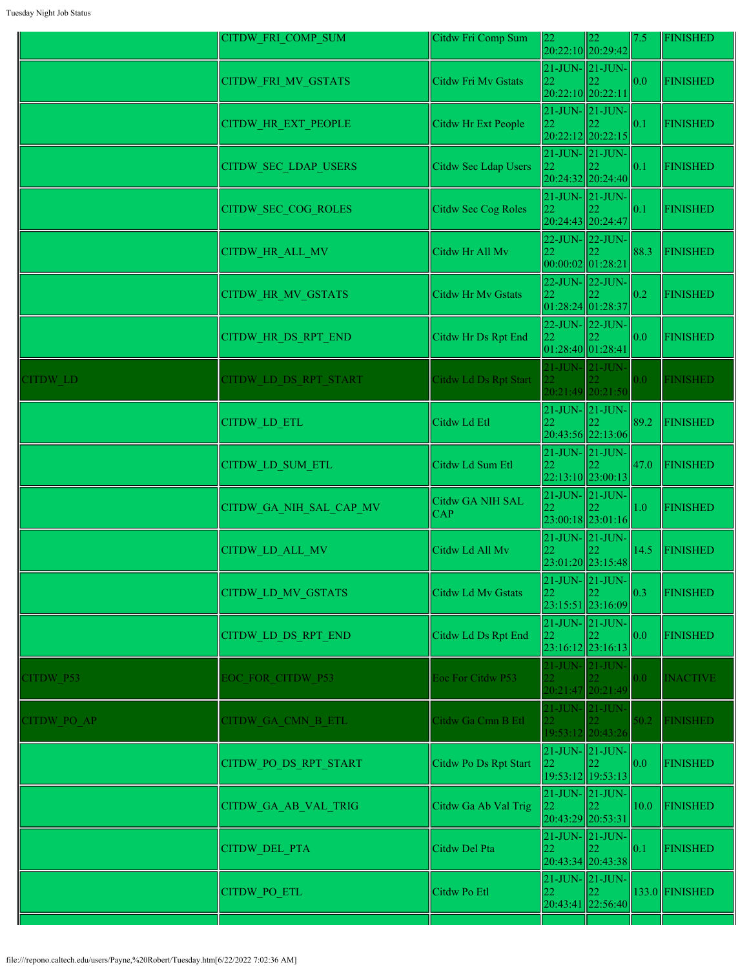|             | CITDW_FRI_COMP_SUM          | Citdw Fri Comp Sum           | 22                      | 22<br>20:22:10 20:29:42                                  | 7.5              | <b>FINISHED</b> |
|-------------|-----------------------------|------------------------------|-------------------------|----------------------------------------------------------|------------------|-----------------|
|             | CITDW_FRI_MV_GSTATS         | Citdw Fri Mv Gstats          | 22                      | $21$ -JUN- $21$ -JUN-<br>20:22:10 20:22:11               | 0.0              | <b>FINISHED</b> |
|             | CITDW_HR_EXT_PEOPLE         | Citdw Hr Ext People          | 22                      | $21$ -JUN- $\vert$ 21-JUN-<br>20:22:12 20:22:15          | 0.1              | <b>FINISHED</b> |
|             | <b>CITDW SEC LDAP USERS</b> | Citdw Sec Ldap Users         | 22                      | $21$ -JUN- $ 21$ -JUN- $ $<br>20:24:32 20:24:40          | 0.1              | FINISHED        |
|             | CITDW_SEC_COG_ROLES         | Citdw Sec Cog Roles          | 22                      | $21$ -JUN- $21$ -JUN-<br>20:24:43 20:24:47               | 0.1              | <b>FINISHED</b> |
|             | CITDW_HR_ALL_MV             | Citdw Hr All Mv              | 22                      | 22-JUN-22-JUN-<br>00:00:02 01:28:21                      | 88.3             | FINISHED        |
|             | <b>CITDW HR MV GSTATS</b>   | <b>Citdw Hr Mv Gstats</b>    | 22                      | 22-JUN-22-JUN-<br> 01:28:24 01:28:37                     | 0.2              | <b>FINISHED</b> |
|             | <b>CITDW HR DS RPT END</b>  | Citdw Hr Ds Rpt End          | 22<br>01:28:40 01:28:41 | $22$ -JUN- $\vert$ 22-JUN-                               | 0.0              | <b>FINISHED</b> |
| CITDW LD    | CITDW LD DS RPT START       | <b>Citdw Ld Ds Rpt Start</b> |                         | 21-JUN- 21-JUN-<br>20:21:49 20:21:50                     | 0.0              | <b>FINISHED</b> |
|             | <b>CITDW LD ETL</b>         | Citdw Ld Etl                 | 22                      | 21-JUN-21-JUN-<br>20:43:56 22:13:06                      | 89.2             | FINISHED        |
|             | CITDW LD SUM ETL            | Citdw Ld Sum Etl             | 22                      | $21$ -JUN- $21$ -JUN-<br>22:13:10 23:00:13               | 47.0             | FINISHED        |
|             | CITDW GA NIH SAL CAP MV     | Citdw GA NIH SAL<br>CAP      | 22                      | $21$ -JUN- $\vert 21$ -JUN- $\vert$<br>23:00:18 23:01:16 | 1.0              | <b>FINISHED</b> |
|             | CITDW_LD_ALL_MV             | Citdw Ld All Mv              | 22                      | $21$ -JUN- $\vert$ 21-JUN-<br>23:01:20 23:15:48          | 14.5             | FINISHED        |
|             | <b>CITDW LD MV GSTATS</b>   | Citdw Ld Mv Gstats           | 22                      | 21-JUN-  21-JUN- <br>23:15:51 23:16:09                   | 0.3              | FINISHED        |
|             | CITDW LD DS RPT END         | Citdw Ld Ds Rpt End          | 22                      | $21$ -JUN- $21$ -JUN-<br>$23:16:12$ 23:16:13             | 0.0              | <b>FINISHED</b> |
| CITDW P53   | <b>EOC FOR CITDW P53</b>    | Eoc For Citdw P53            | 22.                     | 21-JUN-21-JUN-<br>20:21:47 20:21:49                      | 0.0 <sub>1</sub> | <b>INACTIVE</b> |
| CITDW PO AP | CITDW GA CMN B ETL          | Citdw Ga Cmn B Etl           |                         | 21-JUN-21-JUN-<br>19:53:12 20:43:26                      | 50.2             | <b>FINISHED</b> |
|             | CITDW_PO_DS_RPT_START       | Citdw Po Ds Rpt Start        | 22                      | $21$ -JUN- $ 21$ -JUN- $ $<br>19:53:12 19:53:13          | 0.0              | <b>FINISHED</b> |
|             | CITDW_GA_AB_VAL_TRIG        | Citdw Ga Ab Val Trig         | 22                      | $21$ -JUN- $21$ -JUN-<br>20:43:29 20:53:31               | 10.0             | <b>FINISHED</b> |
|             | <b>CITDW DEL PTA</b>        | Citdw Del Pta                | 22                      | $21$ -JUN- $\vert 21$ -JUN- $\vert$<br>20:43:34 20:43:38 | 0.1              | FINISHED        |
|             | CITDW_PO_ETL                | Citdw Po Etl                 | 22                      | $21$ -JUN- $\vert 21$ -JUN-<br>20:43:41 22:56:40         |                  | 133.0 FINISHED  |
|             |                             |                              |                         |                                                          |                  |                 |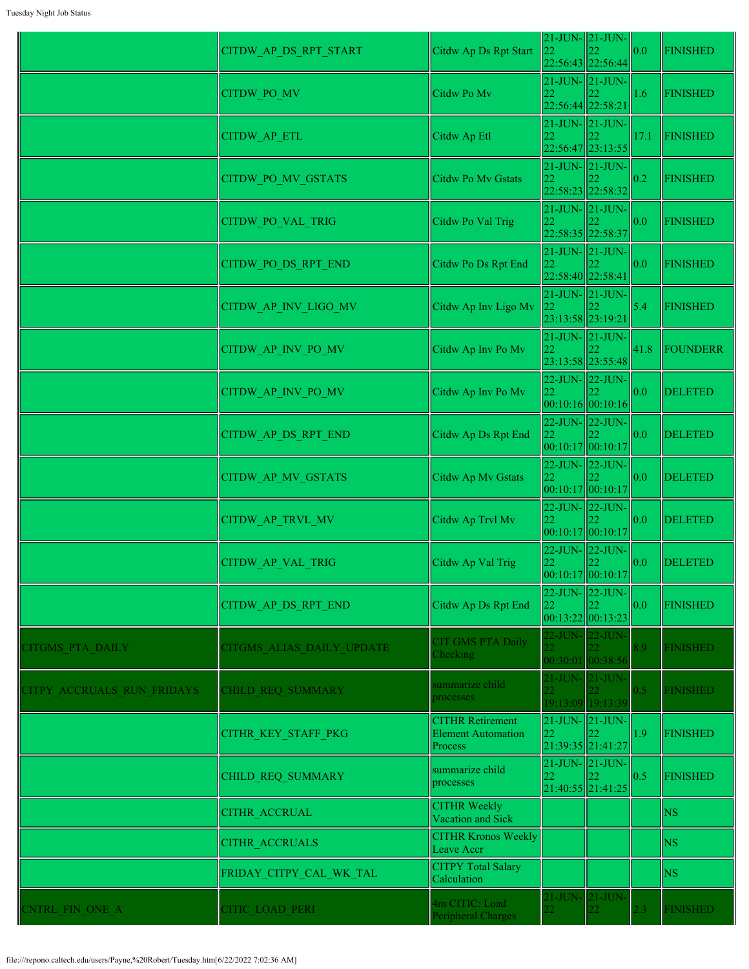|                            | CITDW_AP_DS_RPT_START     | Citdw Ap Ds Rpt Start                                           | 22                                 | $21$ -JUN- $21$ -JUN-<br>22:56:43 22:56:44                                  | 0.0  | <b>FINISHED</b> |
|----------------------------|---------------------------|-----------------------------------------------------------------|------------------------------------|-----------------------------------------------------------------------------|------|-----------------|
|                            | CITDW_PO_MV               | Citdw Po Mv                                                     | 22                                 | $21$ -JUN- $\vert$ 21-JUN-<br>22:56:44 22:58:21                             | 1.6  | FINISHED        |
|                            | CITDW_AP_ETL              | Citdw Ap Etl                                                    | 22                                 | $21$ -JUN- $21$ -JUN-<br>22:56:47 23:13:55                                  | 17.1 | FINISHED        |
|                            | CITDW PO MV GSTATS        | Citdw Po Mv Gstats                                              | 22                                 | $21$ -JUN- $\vert 21$ -JUN-<br>22:58:23 22:58:32                            | 0.2  | <b>FINISHED</b> |
|                            | CITDW_PO_VAL_TRIG         | Citdw Po Val Trig                                               | 22                                 | $21$ -JUN- $21$ -JUN-<br>22:58:35 22:58:37                                  | 0.0  | <b>FINISHED</b> |
|                            | CITDW_PO_DS_RPT_END       | Citdw Po Ds Rpt End                                             | $21$ -JUN- $21$ -JUN-<br>22        | 22:58:40 22:58:41                                                           | 0.0  | <b>FINISHED</b> |
|                            | CITDW AP INV_LIGO_MV      | Citdw Ap Inv Ligo Mv                                            | 22<br>23:13:58 23:19:21            | $21$ -JUN- $21$ -JUN-                                                       | 5.4  | FINISHED        |
|                            | CITDW AP INV_PO_MV        | Citdw Ap Inv Po Mv                                              | 22                                 | $21$ -JUN- $21$ -JUN-                                                       | 41.8 | FOUNDERR        |
|                            | CITDW AP INV PO MV        | Citdw Ap Inv Po Mv                                              | 22                                 | 23:13:58 23:55:48<br>22-JUN- 22-JUN-                                        | 0.0  | <b>DELETED</b>  |
|                            | CITDW AP DS RPT END       | Citdw Ap Ds Rpt End                                             | 22                                 | 00:10:16 00:10:16 <br>$22$ -JUN- $\vert$ 22-JUN-                            | 0.0  | <b>DELETED</b>  |
|                            | CITDW_AP_MV_GSTATS        | Citdw Ap Mv Gstats                                              | 22                                 | 00:10:17 00:10:17<br>$22$ -JUN- $\vert$ 22-JUN-                             | 0.0  | <b>DELETED</b>  |
|                            | CITDW_AP_TRVL_MV          | Citdw Ap Trvl Mv                                                | 22                                 | 00:10:17 00:10:17<br>22-JUN- 22-JUN-                                        | 0.0  | <b>DELETED</b>  |
|                            | <b>CITDW AP VAL TRIG</b>  | Citdw Ap Val Trig                                               | 22                                 | 00:10:17 00:10:17<br>22-JUN- 22-JUN-                                        | 0.0  | <b>DELETED</b>  |
|                            | CITDW AP DS RPT END       | Citdw Ap Ds Rpt End                                             | 22                                 | [00:10:17][00:10:17]<br>22-JUN- 22-JUN-                                     | 0.0  | <b>FINISHED</b> |
| CITGMS PTA DAILY           | CITGMS ALIAS DAILY UPDATE | CIT GMS PTA Daily<br>Checking                                   | $\mathcal{D}$                      | 00:13:22 00:13:23<br>22-JUN- 22-JUN-                                        | 8.9  | <b>FINISHED</b> |
| CITPY ACCRUALS RUN FRIDAYS | CHILD REQ SUMMARY         | summarize child<br>processes                                    | 21-JUN- 21-JUN-<br>22 <sup>2</sup> | 00:30:01 00:38:56                                                           | 0.5  | <b>FINISHED</b> |
|                            | CITHR KEY STAFF PKG       | <b>CITHR Retirement</b><br><b>Element Automation</b><br>Process | 22                                 | 19:13:09 19:13:39<br>$21$ -JUN- $\vert$ 21-JUN-<br>122<br>21:39:35 21:41:27 | 1.9  | <b>FINISHED</b> |
|                            | CHILD REQ SUMMARY         | summarize child<br>processes                                    | $\overline{22}$                    | $21$ -JUN- $\vert 21$ -JUN- $\vert$<br>21:40:55 21:41:25                    | 0.5  | <b>FINISHED</b> |
|                            | <b>CITHR ACCRUAL</b>      | <b>CITHR Weekly</b><br>Vacation and Sick                        |                                    |                                                                             |      | <b>NS</b>       |
|                            | <b>CITHR ACCRUALS</b>     | <b>CITHR Kronos Weekly</b><br>Leave Accr                        |                                    |                                                                             |      | <b>NS</b>       |
|                            | FRIDAY CITPY CAL WK TAL   | <b>CITPY Total Salary</b><br>Calculation                        |                                    |                                                                             |      | <b>NS</b>       |
| <b>CNTRL FIN ONE A</b>     | CITIC LOAD PERI           | 4m CITIC: Load<br>Peripheral Charges                            | 21-JUN- 21-JUN-<br>22 <sup>2</sup> |                                                                             | 2.3  | <b>FINISHED</b> |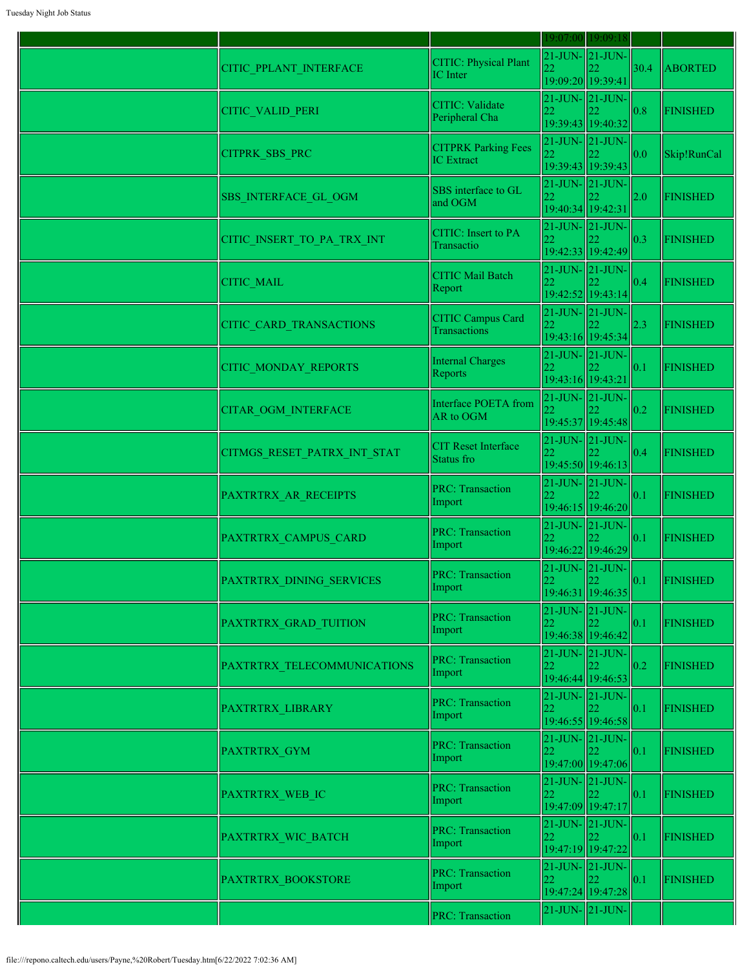|                                |                                                 | 19:07:00                                         | 19:09:18                                   |      |                 |
|--------------------------------|-------------------------------------------------|--------------------------------------------------|--------------------------------------------|------|-----------------|
| CITIC_PPLANT_INTERFACE         | CITIC: Physical Plant<br>IC Inter               | $21$ -JUN- $21$ -JUN-<br>19:09:20 19:39:41       |                                            | 30.4 | <b>ABORTED</b>  |
| <b>CITIC VALID PERI</b>        | <b>CITIC:</b> Validate<br>Peripheral Cha        | $21$ -JUN- $21$ -JUN-                            | 19:39:43 19:40:32                          | 0.8  | <b>FINISHED</b> |
| <b>CITPRK SBS PRC</b>          | <b>CITPRK Parking Fees</b><br><b>IC</b> Extract |                                                  | $21$ -JUN- $21$ -JUN-<br>19:39:43 19:39:43 | 0.0  | Skip!RunCal     |
| <b>SBS INTERFACE GL OGM</b>    | SBS interface to GL<br>and OGM                  | $21$ -JUN- $21$ -JUN-<br>22<br>19:40:34 19:42:31 |                                            | 2.0  | <b>FINISHED</b> |
| CITIC_INSERT_TO_PA_TRX_INT     | <b>CITIC:</b> Insert to PA<br>Transactio        | $21$ -JUN- $21$ -JUN-<br>22                      | 19:42:33 19:42:49                          | 0.3  | <b>FINISHED</b> |
| <b>CITIC MAIL</b>              | <b>CITIC Mail Batch</b><br>Report               | $21$ -JUN- $21$ -JUN-<br>22                      | 19:42:52 19:43:14                          | 0.4  | <b>FINISHED</b> |
| <b>CITIC CARD TRANSACTIONS</b> | <b>CITIC Campus Card</b><br>Transactions        | $21$ -JUN- $21$ -JUN-                            | 19:43:16 19:45:34                          | 2.3  | <b>FINISHED</b> |
| CITIC_MONDAY_REPORTS           | <b>Internal Charges</b><br>Reports              | $21$ -JUN- $21$ -JUN-<br>22<br>19:43:16 19:43:21 |                                            | 0.1  | <b>FINISHED</b> |
| <b>CITAR OGM INTERFACE</b>     | Interface POETA from<br>AR to OGM               | $21$ -JUN- $21$ -JUN-<br>22                      | 19:45:37 19:45:48                          | 0.2  | <b>FINISHED</b> |
| CITMGS RESET PATRX INT STAT    | <b>CIT</b> Reset Interface<br>Status fro        | $21$ -JUN- $21$ -JUN-<br>22                      | 19:45:50 19:46:13                          | 0.4  | <b>FINISHED</b> |
| PAXTRTRX AR RECEIPTS           | <b>PRC: Transaction</b><br>Import               |                                                  | $21$ -JUN- $21$ -JUN-<br>19:46:15 19:46:20 | 0.1  | <b>FINISHED</b> |
| PAXTRTRX CAMPUS CARD           | <b>PRC: Transaction</b><br>Import               | $21$ -JUN- $21$ -JUN-<br>22                      | 19:46:22 19:46:29                          | 0.1  | <b>FINISHED</b> |
| PAXTRTRX DINING SERVICES       | <b>PRC: Transaction</b><br>Import               | 21-JUN- 21-JUN-<br>22                            | $ 22\rangle$<br>19:46:31 19:46:35          | 0.1  | <b>FINISHED</b> |
| PAXTRTRX GRAD TUITION          | <b>PRC: Transaction</b><br>Import               | $21$ -JUN- $21$ -JUN-<br>22                      | 19:46:38 19:46:42                          | 0.1  | <b>FINISHED</b> |
| PAXTRTRX TELECOMMUNICATIONS    | <b>PRC: Transaction</b><br>Import               | 22<br>19:46:44 19:46:53                          | $21$ -JUN- $\vert$ 21-JUN-                 | 0.2  | <b>FINISHED</b> |
| PAXTRTRX LIBRARY               | <b>PRC: Transaction</b><br>Import               | $21$ -JUN- $21$ -JUN-<br>22                      | 19:46:55 19:46:58                          | 0.1  | <b>FINISHED</b> |
| PAXTRTRX GYM                   | <b>PRC: Transaction</b><br>Import               | $21$ -JUN- $21$ -JUN-<br>22                      | 19:47:00 19:47:06                          | 0.1  | <b>FINISHED</b> |
| PAXTRTRX WEB IC                | <b>PRC: Transaction</b><br>Import               | $21$ -JUN- $21$ -JUN-<br>22                      | 19:47:09 19:47:17                          | 0.1  | <b>FINISHED</b> |
| PAXTRTRX WIC BATCH             | <b>PRC: Transaction</b><br>Import               | 22<br>19:47:19 19:47:22                          | $21$ -JUN- $21$ -JUN-                      | 0.1  | <b>FINISHED</b> |
| PAXTRTRX BOOKSTORE             | <b>PRC: Transaction</b><br>Import               | $21$ -JUN- $21$ -JUN-<br>22                      | 19:47:24 19:47:28                          | 0.1  | <b>FINISHED</b> |
|                                | <b>PRC: Transaction</b>                         | $21$ -JUN- $21$ -JUN-                            |                                            |      |                 |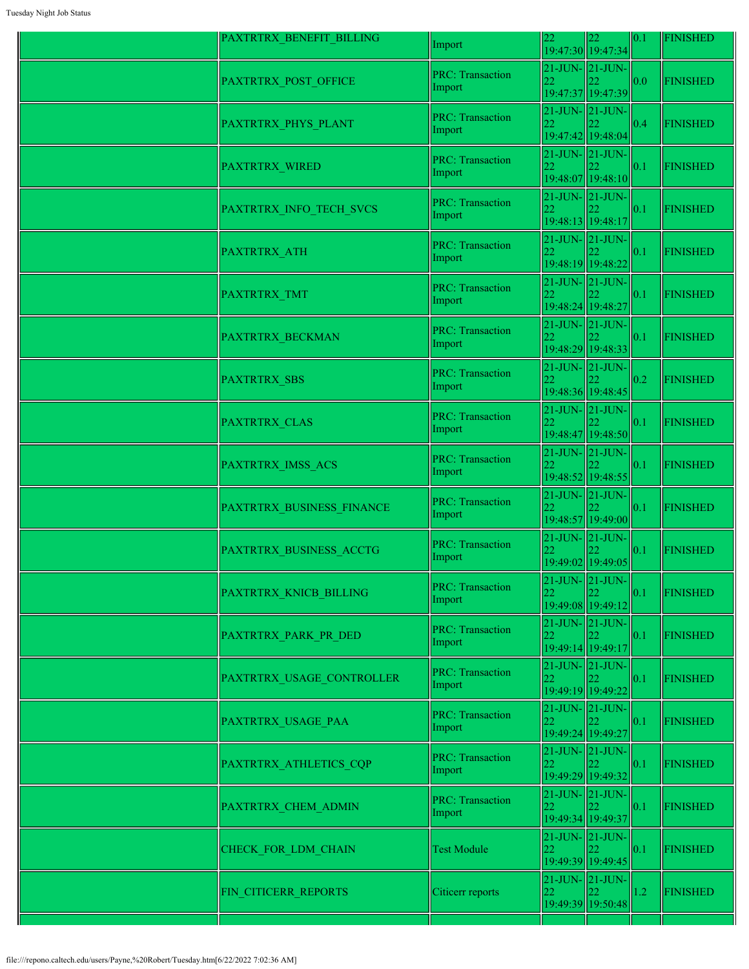| PAXTRTRX BENEFIT BILLING  | Import                            |                                            | 22<br>19:47:30 19:47:34                          | 0.1 | <b>FINISHED</b> |
|---------------------------|-----------------------------------|--------------------------------------------|--------------------------------------------------|-----|-----------------|
| PAXTRTRX_POST_OFFICE      | <b>PRC: Transaction</b><br>Import | 21-JUN-21-JUN-<br>22                       | 19:47:37 19:47:39                                | 0.0 | <b>FINISHED</b> |
| PAXTRTRX_PHYS_PLANT       | <b>PRC: Transaction</b><br>Import | $21$ -JUN- $21$ -JUN-<br>22                | 19:47:42 19:48:04                                | 0.4 | <b>FINISHED</b> |
| <b>PAXTRTRX WIRED</b>     | <b>PRC: Transaction</b><br>Import | 22                                         | $21$ -JUN- $\vert$ 21-JUN-<br>19:48:07 19:48:10  | 0.1 | <b>FINISHED</b> |
| PAXTRTRX_INFO_TECH_SVCS   | <b>PRC: Transaction</b><br>Import | 22                                         | $21$ -JUN- $21$ -JUN-<br>19:48:13 19:48:17       | 0.1 | <b>FINISHED</b> |
| PAXTRTRX_ATH              | <b>PRC: Transaction</b><br>Import | 21-JUN- 21-JUN-<br>22<br>19:48:19 19:48:22 |                                                  | 0.1 | <b>FINISHED</b> |
| <b>PAXTRTRX TMT</b>       | <b>PRC: Transaction</b><br>Import | 22<br>19:48:24 19:48:27                    | $21$ -JUN- $21$ -JUN-                            | 0.1 | <b>FINISHED</b> |
| PAXTRTRX_BECKMAN          | <b>PRC: Transaction</b><br>Import | 22                                         | $21$ -JUN- $\vert$ 21-JUN-<br>19:48:29 19:48:33  | 0.1 | <b>FINISHED</b> |
| PAXTRTRX_SBS              | <b>PRC: Transaction</b><br>Import | $21$ -JUN- $21$ -JUN-<br>22                | 19:48:36 19:48:45                                | 0.2 | <b>FINISHED</b> |
| PAXTRTRX CLAS             | <b>PRC: Transaction</b><br>Import | 22                                         | 21-JUN-21-JUN-<br>19:48:47 19:48:50              | 0.1 | <b>FINISHED</b> |
| PAXTRTRX IMSS ACS         | <b>PRC: Transaction</b><br>Import | $21$ -JUN- $21$ -JUN-                      | 19:48:52 19:48:55                                | 0.1 | <b>FINISHED</b> |
| PAXTRTRX BUSINESS FINANCE | <b>PRC: Transaction</b><br>Import | 21-JUN- 21-JUN-<br>22                      | 19:48:57 19:49:00                                | 0.1 | <b>FINISHED</b> |
| PAXTRTRX_BUSINESS_ACCTG   | <b>PRC: Transaction</b><br>Import |                                            | $21$ -JUN- $21$ -JUN-<br>19:49:02 19:49:05       | 0.1 | <b>FINISHED</b> |
| PAXTRTRX KNICB BILLING    | <b>PRC: Transaction</b><br>Import | 22                                         | $21$ -JUN- $ 21$ -JUN-<br>19:49:08 19:49:12      | 0.1 | <b>FINISHED</b> |
| PAXTRTRX PARK PR DED      | <b>PRC: Transaction</b><br>Import | 21-JUN- 21-JUN-<br>22.                     | 19:49:14 19:49:17                                | 0.1 | <b>FINISHED</b> |
| PAXTRTRX USAGE CONTROLLER | <b>PRC: Transaction</b><br>Import |                                            | $21$ -JUN- $21$ -JUN-<br>19:49:19 19:49:22       | 0.1 | <b>FINISHED</b> |
| PAXTRTRX USAGE PAA        | <b>PRC: Transaction</b><br>Import | 21-JUN- 21-JUN-<br>22                      | 19:49:24 19:49:27                                | 0.1 | <b>FINISHED</b> |
| PAXTRTRX_ATHLETICS_CQP    | <b>PRC: Transaction</b><br>Import | 22                                         | $21$ -JUN- $21$ -JUN-<br>19:49:29 19:49:32       | 0.1 | <b>FINISHED</b> |
| PAXTRTRX_CHEM_ADMIN       | <b>PRC: Transaction</b><br>Import | $21$ -JUN- $21$ -JUN-<br>22                | 19:49:34 19:49:37                                | 0.1 | <b>FINISHED</b> |
| CHECK FOR LDM CHAIN       | <b>Test Module</b>                | 22                                         | $21$ -JUN- $\vert 21$ -JUN-<br>19:49:39 19:49:45 | 0.1 | <b>FINISHED</b> |
| FIN CITICERR REPORTS      | Citicerr reports                  | 22                                         | $21$ -JUN- $21$ -JUN-<br>19:49:39 19:50:48       | 1.2 | <b>FINISHED</b> |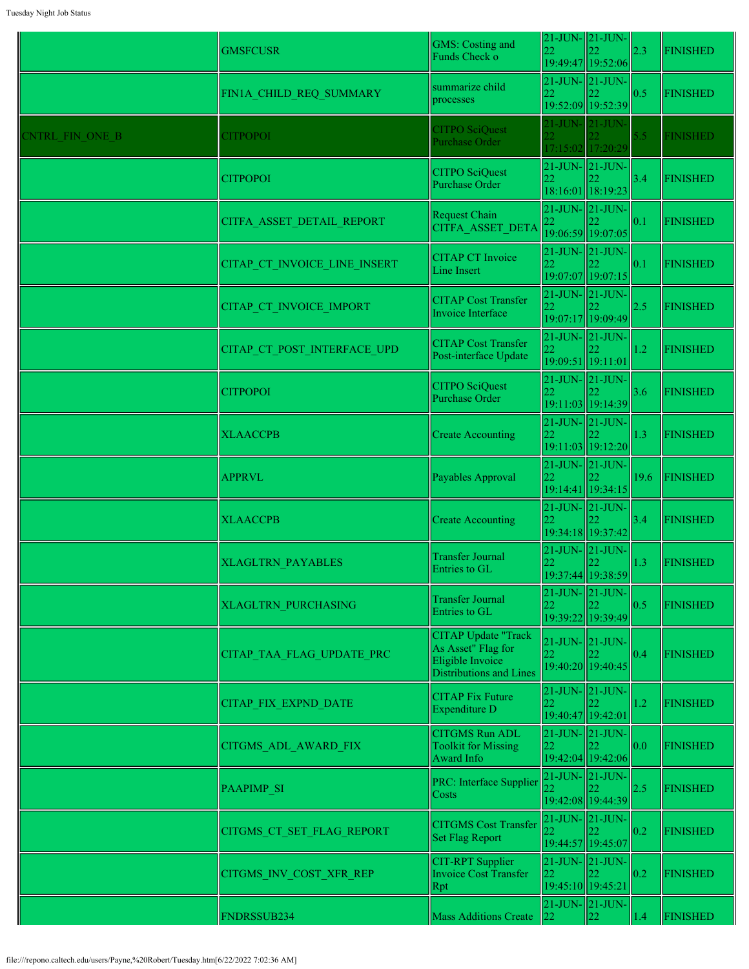|                 | <b>GMSFCUSR</b>              | GMS: Costing and<br>Funds Check o                                                                      | 22                                         | $21$ -JUN- $\vert$ 21-JUN-<br>22<br>19:49:47 19:52:06                                               | 2.3           | <b>FINISHED</b> |
|-----------------|------------------------------|--------------------------------------------------------------------------------------------------------|--------------------------------------------|-----------------------------------------------------------------------------------------------------|---------------|-----------------|
|                 | FIN1A CHILD REQ SUMMARY      | summarize child<br>processes                                                                           | 22                                         | $21$ -JUN- $\vert$ 21-JUN-<br>19:52:09 19:52:39                                                     | 0.5           | <b>FINISHED</b> |
| CNTRL FIN ONE B | <b>CITPOPOI</b>              | <b>CITPO SciOuest</b><br><b>Purchase Order</b>                                                         |                                            | 21-JUN- 21-JUN-<br>17:15:02 17:20:29                                                                | 5.5           | <b>FINISHED</b> |
|                 | <b>CITPOPOI</b>              | <b>CITPO SciQuest</b><br><b>Purchase Order</b>                                                         | 22                                         | $21$ -JUN- $\vert$ 21-JUN-<br>18:16:01 18:19:23                                                     | 3.4           | <b>FINISHED</b> |
|                 | CITFA ASSET DETAIL REPORT    | Request Chain<br><b>CITFA ASSET DETA</b>                                                               | 21-JUN- 21-JUN-<br>$ 22\rangle$            | 19:06:59 19:07:05                                                                                   | 0.1           | <b>FINISHED</b> |
|                 | CITAP CT INVOICE LINE INSERT | <b>CITAP CT Invoice</b><br>Line Insert                                                                 | 22                                         | $21$ -JUN- $\vert$ 21-JUN-<br>19:07:07 19:07:15                                                     | $ 0.1\rangle$ | <b>FINISHED</b> |
|                 | CITAP CT INVOICE IMPORT      | <b>CITAP Cost Transfer</b><br>Invoice Interface                                                        | $21$ -JUN- $21$ -JUN-<br>22                | 19:07:17 19:09:49                                                                                   | 2.5           | <b>FINISHED</b> |
|                 | CITAP CT POST INTERFACE UPD  | <b>CITAP Cost Transfer</b><br>Post-interface Update                                                    | 22                                         | $21$ -JUN- $21$ -JUN-<br>19:09:51 19:11:01                                                          | 1.2           | <b>FINISHED</b> |
|                 | <b>CITPOPOI</b>              | <b>CITPO SciQuest</b><br>Purchase Order                                                                | 22                                         | $21$ -JUN- $\vert$ 21-JUN-<br>19:11:03 19:14:39                                                     | 3.6           | <b>FINISHED</b> |
|                 | <b>XLAACCPB</b>              | <b>Create Accounting</b>                                                                               | $21$ -JUN- $21$ -JUN-<br>22                | 19:11:03 19:12:20                                                                                   | 1.3           | <b>FINISHED</b> |
|                 | <b>APPRVL</b>                | Payables Approval                                                                                      | 22                                         | $21$ -JUN- $21$ -JUN-<br>19:14:41 19:34:15                                                          | 19.6          | <b>FINISHED</b> |
|                 | <b>XLAACCPB</b>              | <b>Create Accounting</b>                                                                               |                                            | $21$ -JUN- $\vert$ 21-JUN-<br>19:34:18 19:37:42                                                     | 3.4           | <b>FINISHED</b> |
|                 | <b>XLAGLTRN PAYABLES</b>     | Transfer Journal<br>Entries to GL                                                                      |                                            | $21$ -JUN- $\vert$ 21-JUN-<br>$\begin{array}{ c c }\n 22 & 22 \\ 19:37:44 & 19:38:59\n \end{array}$ | $\vert$ 1.3   | <b>FINISHED</b> |
|                 | <b>XLAGLTRN PURCHASING</b>   | <b>Transfer Journal</b><br>Entries to GL                                                               | 22                                         | $21$ -JUN- $21$ -JUN-<br>19:39:22 19:39:49                                                          | 0.5           | <b>FINISHED</b> |
|                 | CITAP TAA FLAG UPDATE PRC    | <b>CITAP Update "Track</b><br>As Asset" Flag for<br>Eligible Invoice<br><b>Distributions and Lines</b> | 22                                         | $21$ -JUN- $21$ -JUN-<br>19:40:20 19:40:45                                                          | 0.4           | <b>FINISHED</b> |
|                 | <b>CITAP FIX EXPND DATE</b>  | <b>CITAP</b> Fix Future<br>Expenditure D                                                               | $21$ -JUN- $21$ -JUN-<br>22                | 19:40:47 19:42:01                                                                                   | 1.2           | <b>FINISHED</b> |
|                 | <b>CITGMS ADL AWARD FIX</b>  | <b>CITGMS Run ADL</b><br><b>Toolkit for Missing</b><br>Award Info                                      | 22                                         | $21$ -JUN- $\vert$ 21-JUN-<br>19:42:04 19:42:06                                                     | 0.0           | <b>FINISHED</b> |
|                 | <b>PAAPIMP SI</b>            | PRC: Interface Supplier<br>Costs                                                                       |                                            | $21$ -JUN- $\vert$ 21-JUN-<br>19:42:08 19:44:39                                                     | 2.5           | <b>FINISHED</b> |
|                 | CITGMS CT SET FLAG REPORT    | <b>CITGMS</b> Cost Transfer<br><b>Set Flag Report</b>                                                  |                                            | $21$ -JUN- $21$ -JUN-<br>19:44:57 19:45:07                                                          | 0.2           | <b>FINISHED</b> |
|                 | CITGMS INV COST XFR REP      | <b>CIT-RPT</b> Supplier<br><b>Invoice Cost Transfer</b><br>Rpt                                         | 21-JUN- 21-JUN-<br>22<br>19:45:10 19:45:21 |                                                                                                     | 0.2           | <b>FINISHED</b> |
|                 | FNDRSSUB234                  | <b>Mass Additions Create</b>                                                                           | $21$ -JUN- $21$ -JUN-<br>22                | 22                                                                                                  | 1.4           | <b>FINISHED</b> |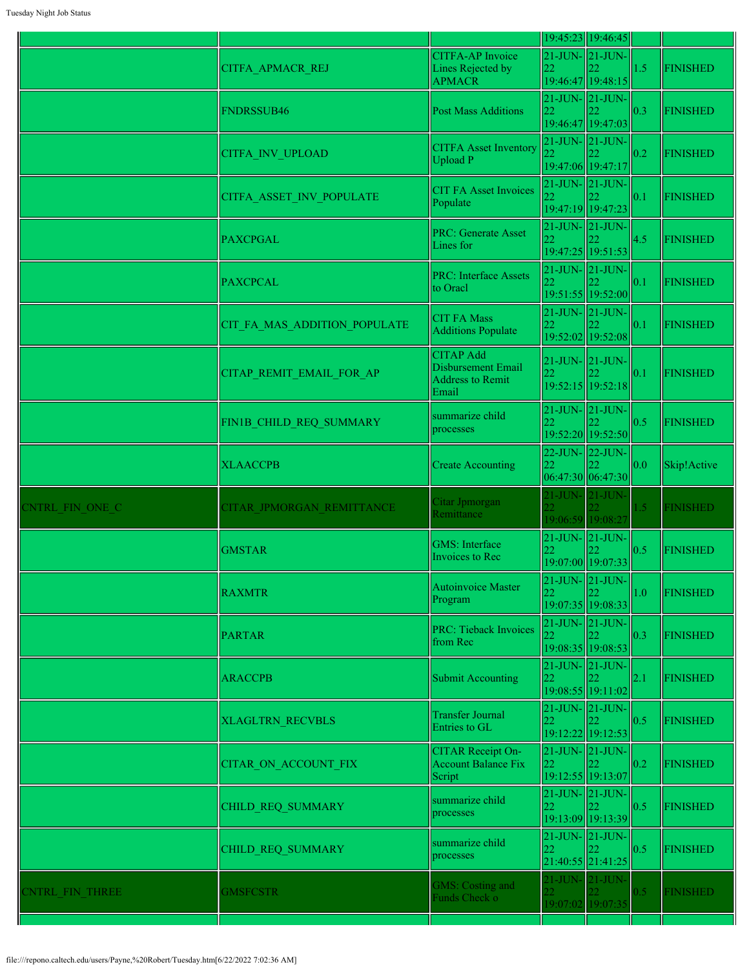|                 |                              |                                                                            |                                                       | 19:45:23 19:46:45                                               |               |                 |
|-----------------|------------------------------|----------------------------------------------------------------------------|-------------------------------------------------------|-----------------------------------------------------------------|---------------|-----------------|
|                 | CITFA APMACR REJ             | <b>CITFA-AP</b> Invoice<br>Lines Rejected by<br><b>APMACR</b>              | 22                                                    | $21$ -JUN- $21$ -JUN-<br>19:46:47 19:48:15                      | 1.5           | <b>FINISHED</b> |
|                 | <b>FNDRSSUB46</b>            | <b>Post Mass Additions</b>                                                 | 22<br>19:46:47 19:47:03                               | $21$ -JUN- $21$ -JUN-                                           | 0.3           | <b>FINISHED</b> |
|                 | <b>CITFA INV UPLOAD</b>      | <b>CITFA Asset Inventory</b><br><b>Upload P</b>                            | $21$ -JUN- $\vert$ 21-JUN-<br>19:47:06 19:47:17       |                                                                 | 0.2           | <b>FINISHED</b> |
|                 | CITFA ASSET INV POPULATE     | <b>CIT FA Asset Invoices</b><br>Populate                                   | 22                                                    | $21$ -JUN- $21$ -JUN-<br>19:47:19 19:47:23                      | 0.1           | <b>FINISHED</b> |
|                 | <b>PAXCPGAL</b>              | <b>PRC: Generate Asset</b><br>Lines for                                    | $21$ -JUN- $21$ -JUN-<br>22                           | 19:47:25 19:51:53                                               | 4.5           | <b>FINISHED</b> |
|                 | <b>PAXCPCAL</b>              | <b>PRC: Interface Assets</b><br>to Oracl                                   | $21$ -JUN- $21$ -JUN-<br>22                           | 19:51:55 19:52:00                                               | 0.1           | <b>FINISHED</b> |
|                 | CIT FA MAS ADDITION POPULATE | <b>CIT FA Mass</b><br><b>Additions Populate</b>                            | $21$ -JUN- $21$ -JUN-<br>22                           | 19:52:02 19:52:08                                               | 0.1           | <b>FINISHED</b> |
|                 | CITAP REMIT EMAIL FOR AP     | <b>CITAP Add</b><br>Disbursement Email<br><b>Address to Remit</b><br>Email |                                                       | $21$ -JUN- $21$ -JUN-<br>19:52:15 19:52:18                      | 0.1           | <b>FINISHED</b> |
|                 | FIN1B_CHILD_REQ_SUMMARY      | summarize child<br>processes                                               | 22                                                    | $21$ -JUN- $21$ -JUN-<br>19:52:20 19:52:50                      | 0.5           | <b>FINISHED</b> |
|                 | <b>XLAACCPB</b>              | <b>Create Accounting</b>                                                   | 22                                                    | 22-JUN- 22-JUN-<br>06:47:30 06:47:30                            | 0.0           | Skip!Active     |
| CNTRL FIN ONE C | CITAR JPMORGAN REMITTANCE    | Citar Jpmorgan<br>Remittance                                               | 21-JUN- 21-JUN-                                       | 19:06:59 19:08:27                                               | $1.5^{\circ}$ | <b>FINISHED</b> |
|                 | <b>GMSTAR</b>                | <b>GMS</b> : Interface<br>Invoices to Rec                                  | 22<br>19:07:00 19:07:33                               | $21$ -JUN- $21$ -JUN-                                           | 0.5           | <b>FINISHED</b> |
|                 | <b>RAXMTR</b>                | Autoinvoice Master<br>Program                                              | 22                                                    | $21$ -JUN- $\vert 21$ -JUN- $\vert$<br>22.<br>19:07:35 19:08:33 | 1.0           | <b>FINISHED</b> |
|                 | <b>PARTAR</b>                | <b>PRC: Tieback Invoices</b><br>from Rec                                   | $21$ -JUN- $21$ -JUN-<br>22                           | 19:08:35 19:08:53                                               | 0.3           | <b>FINISHED</b> |
|                 | <b>ARACCPB</b>               | Submit Accounting                                                          | $21$ -JUN- $\vert 21$ -JUN-<br>22                     | 19:08:55 19:11:02                                               | 2.1           | <b>FINISHED</b> |
|                 | <b>XLAGLTRN RECVBLS</b>      | <b>Transfer Journal</b><br>Entries to GL                                   | $21$ -JUN- $\vert$ 21-JUN-<br>22                      | 19:12:22 19:12:53                                               | 0.5           | <b>FINISHED</b> |
|                 | CITAR ON ACCOUNT FIX         | <b>CITAR Receipt On-</b><br><b>Account Balance Fix</b><br>Script           | $21$ -JUN- $\vert$ 21-JUN-<br>22<br>19:12:55 19:13:07 |                                                                 | 0.2           | <b>FINISHED</b> |
|                 | CHILD REQ SUMMARY            | summarize child<br>processes                                               | 22                                                    | $21$ -JUN- $\vert 21$ -JUN-<br>19:13:09 19:13:39                | 0.5           | <b>FINISHED</b> |
|                 | CHILD REQ SUMMARY            | summarize child<br>processes                                               | 22                                                    | $21$ -JUN- $\vert 21$ -JUN-<br>21:40:55 21:41:25                | 0.5           | <b>FINISHED</b> |
| CNTRL FIN THREE | <b>GMSFCSTR</b>              | GMS: Costing and<br><b>Funds Check o</b>                                   | 21-JUN-21-JUN-                                        | 19:07:02 19:07:35                                               | 0.5           | <b>FINISHED</b> |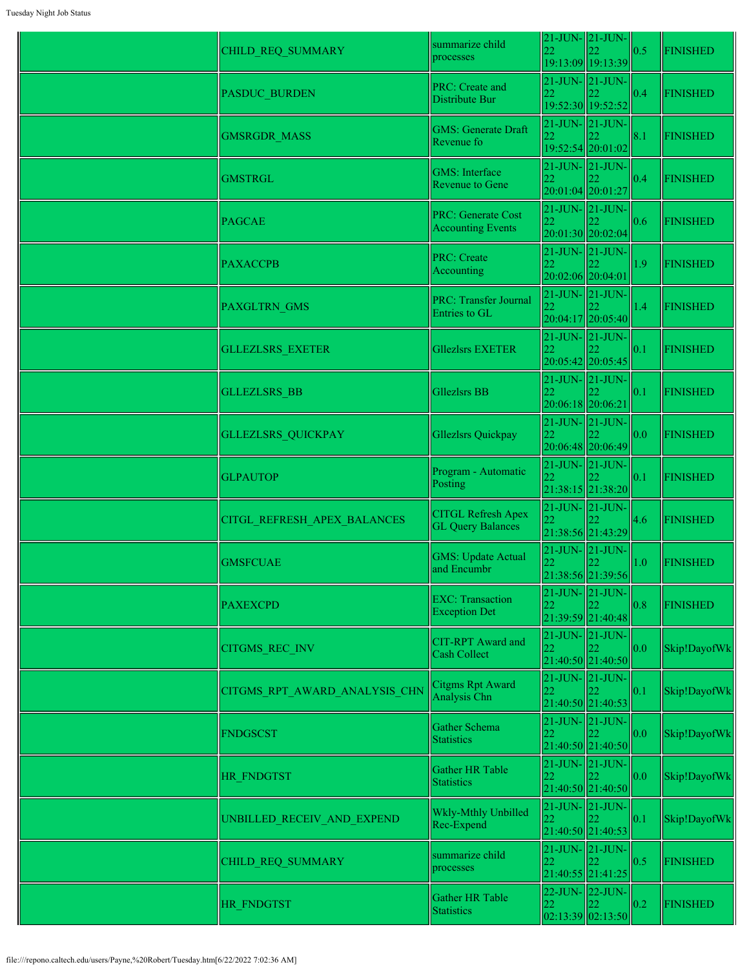| CHILD_REQ_SUMMARY             | summarize child<br>processes                          | 22                               | $21$ -JUN- $\vert$ 21-JUN-                               | $\vert 0.5 \vert$ | <b>FINISHED</b> |
|-------------------------------|-------------------------------------------------------|----------------------------------|----------------------------------------------------------|-------------------|-----------------|
|                               |                                                       |                                  | 19:13:09 19:13:39                                        |                   |                 |
| <b>PASDUC BURDEN</b>          | PRC: Create and<br>Distribute Bur                     | 22                               | $21$ -JUN- $\vert$ 21-JUN-<br>19:52:30 19:52:52          | 0.4               | <b>FINISHED</b> |
| <b>GMSRGDR_MASS</b>           | <b>GMS: Generate Draft</b><br>Revenue fo              | 22                               | $21$ -JUN- $21$ -JUN-                                    | 8.1               | <b>FINISHED</b> |
|                               |                                                       |                                  | 19:52:54 20:01:02                                        |                   |                 |
| <b>GMSTRGL</b>                | <b>GMS</b> : Interface<br><b>Revenue to Gene</b>      | 22                               | $21$ -JUN- $21$ -JUN-<br>20:01:04 20:01:27               | 0.4               | <b>FINISHED</b> |
| <b>PAGCAE</b>                 | <b>PRC: Generate Cost</b><br><b>Accounting Events</b> | 22                               | $21$ -JUN- $21$ -JUN-<br>20:01:30 20:02:04               | 0.6               | <b>FINISHED</b> |
| <b>PAXACCPB</b>               | <b>PRC: Create</b><br>Accounting                      | 22<br>20:02:06 20:04:01          | $21$ -JUN- $21$ -JUN-                                    | 1.9               | <b>FINISHED</b> |
| PAXGLTRN_GMS                  | <b>PRC: Transfer Journal</b><br>Entries to GL         | $21$ -JUN- $\vert$ 21-JUN-<br>22 | 20:04:17 20:05:40                                        | 1.4               | <b>FINISHED</b> |
| <b>GLLEZLSRS EXETER</b>       | <b>Gliezlsrs EXETER</b>                               | 22                               | $21$ -JUN- $21$ -JUN-<br>20:05:42 20:05:45               | 0.1               | <b>FINISHED</b> |
| <b>GLLEZLSRS BB</b>           | <b>Gllezlsrs BB</b>                                   | 22<br>20:06:18 20:06:21          | $21$ -JUN- $21$ -JUN-                                    | 0.1               | <b>FINISHED</b> |
| <b>GLLEZLSRS QUICKPAY</b>     | Gllezlsrs Quickpay                                    | 22                               | $21$ -JUN- $\vert$ 21-JUN-<br>20:06:48 20:06:49          | 0.0               | <b>FINISHED</b> |
| <b>GLPAUTOP</b>               | Program - Automatic<br>Posting                        | 22                               | $21$ -JUN- $21$ -JUN-<br>21:38:15 21:38:20               | 0.1               | <b>FINISHED</b> |
| CITGL REFRESH APEX BALANCES   | <b>CITGL Refresh Apex</b><br><b>GL Query Balances</b> | $ 22\rangle$                     | $21$ -JUN- $21$ -JUN-<br>21:38:56 21:43:29               | 4.6               | <b>FINISHED</b> |
| <b>GMSFCUAE</b>               | <b>GMS: Update Actual</b><br>and Encumbr              | 22                               | $21$ -JUN- $\vert$ 21-JUN-<br>21:38:56 21:39:56          | 1.0               | <b>FINISHED</b> |
| <b>PAXEXCPD</b>               | <b>EXC: Transaction</b><br><b>Exception Det</b>       | 22                               | $21$ -JUN- $ 21$ -JUN-<br>21:39:59 21:40:48              | 0.8               | <b>FINISHED</b> |
| CITGMS_REC_INV                | CIT-RPT Award and<br>Cash Collect                     | 22                               | $21$ -JUN- $\vert$ 21-JUN-<br>21:40:50 21:40:50          | 0.0               | Skip!DayofWk    |
| CITGMS RPT AWARD ANALYSIS CHN | Citgms Rpt Award<br>Analysis Chn                      | 22<br>21:40:50 21:40:53          | 21-JUN- 21-JUN-                                          | 0.1               | Skip!DayofWk    |
| <b>FNDGSCST</b>               | Gather Schema<br><b>Statistics</b>                    | 22                               | $21$ -JUN- $21$ -JUN-<br>21:40:50 21:40:50               | 0.0               | Skip!DayofWk    |
| HR FNDGTST                    | Gather HR Table<br><b>Statistics</b>                  | 22                               | $21$ -JUN- $\vert$ 21-JUN-<br>122<br>$21:40:50$ 21:40:50 | 0.0               | Skip!DayofWk    |
| UNBILLED_RECEIV_AND_EXPEND    | Wkly-Mthly Unbilled<br>Rec-Expend                     | 22                               | $21$ -JUN- $21$ -JUN-<br>122.<br>21:40:50 21:40:53       | 0.1               | Skip!DayofWk    |
| CHILD_REQ_SUMMARY             | summarize child<br>processes                          | 22                               | $21$ -JUN- $21$ -JUN-<br>$21:40:55$ 21:41:25             | 0.5               | <b>FINISHED</b> |
| <b>HR FNDGTST</b>             | Gather HR Table<br><b>Statistics</b>                  | 22                               | 22-JUN- 22-JUN-<br>22<br> 02:13:39 02:13:50              | 0.2               | <b>FINISHED</b> |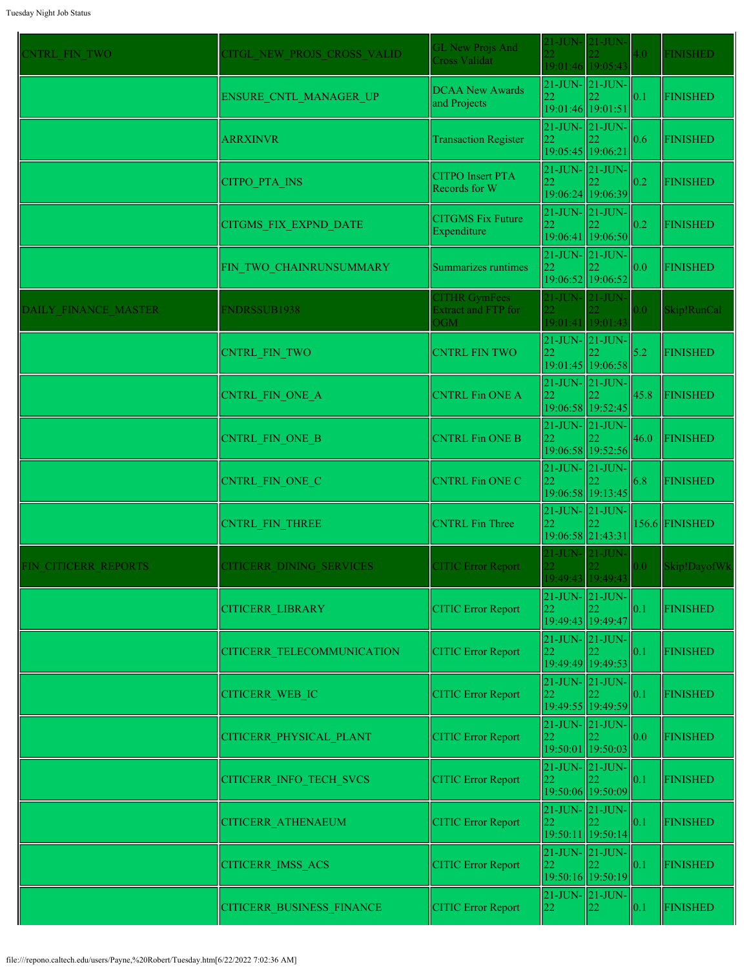| <b>CNTRL FIN TWO</b> | CITGL NEW PROJS CROSS VALID | <b>GL New Projs And</b><br><b>Cross Validat</b>           | $21$ -JUN-                                            | $21$ -JUN-<br>19:01:46 19:05:43 | 4.0  | <b>FINISHED</b> |
|----------------------|-----------------------------|-----------------------------------------------------------|-------------------------------------------------------|---------------------------------|------|-----------------|
|                      | ENSURE CNTL MANAGER UP      | <b>DCAA New Awards</b><br>and Projects                    | 21-JUN- 21-JUN-<br>22<br>19:01:46 19:01:51            |                                 | 0.1  | <b>FINISHED</b> |
|                      | <b>ARRXINVR</b>             | <b>Transaction Register</b>                               | $21$ -JUN- $\vert$ 21-JUN-<br>22<br>19:05:45 19:06:21 |                                 | 0.6  | <b>FINISHED</b> |
|                      | CITPO_PTA_INS               | <b>CITPO</b> Insert PTA<br>Records for W                  | $21$ -JUN- $\vert$ 21-JUN-<br>22                      | 19:06:24 19:06:39               | 0.2  | <b>FINISHED</b> |
|                      | CITGMS_FIX_EXPND_DATE       | <b>CITGMS Fix Future</b><br>Expenditure                   | $21$ -JUN- $\vert$ 21-JUN-<br>22                      | 19:06:41 19:06:50               | 0.2  | <b>FINISHED</b> |
|                      | FIN_TWO_CHAINRUNSUMMARY     | Summarizes runtimes                                       | $21$ -JUN- $21$ -JUN-<br>22                           | 19:06:52 19:06:52               | 0.0  | <b>FINISHED</b> |
| DAILY FINANCE MASTER | <b>FNDRSSUB1938</b>         | <b>CITHR GymFees</b><br><b>Extract and FTP for</b><br>OGM | $21$ -JUN-                                            | $21$ -JUN-<br>19:01:41 19:01:43 | 0.0  | Skip!RunCal     |
|                      | <b>CNTRL FIN TWO</b>        | <b>CNTRL FIN TWO</b>                                      | $21$ -JUN- $\vert$ 21-JUN-<br>22                      | 19:01:45 19:06:58               | 5.2  | <b>FINISHED</b> |
|                      | CNTRL FIN ONE A             | <b>CNTRL Fin ONE A</b>                                    | $21$ -JUN- $\vert$ 21-JUN-<br>22                      | 19:06:58 19:52:45               | 45.8 | <b>FINISHED</b> |
|                      | CNTRL_FIN_ONE_B             | <b>CNTRL Fin ONE B</b>                                    | $21$ -JUN- $21$ -JUN-<br>22                           | 19:06:58 19:52:56               | 46.0 | <b>FINISHED</b> |
|                      | CNTRL_FIN_ONE_C             | <b>CNTRL Fin ONE C</b>                                    | 21-JUN- 21-JUN-<br>22                                 | 19:06:58 19:13:45               | 6.8  | <b>FINISHED</b> |
|                      | CNTRL FIN THREE             | <b>CNTRL</b> Fin Three                                    | $21$ -JUN- $21$ -JUN-<br>22<br>19:06:58 21:43:31      |                                 |      | 156.6 FINISHED  |
| FIN CITICERR REPORTS | CITICERR DINING SERVICES    | <b>CITIC Error Report</b>                                 | $21$ -JUN- $21$ -JUN-                                 | 19:49:43 19:49:43               | 0.0  | Skip!DayofWk    |
|                      | <b>CITICERR LIBRARY</b>     | <b>CITIC Error Report</b>                                 | $21$ -JUN- $\vert$ 21-JUN-<br>22                      | 19:49:43 19:49:47               | 0.1  | <b>FINISHED</b> |
|                      | CITICERR TELECOMMUNICATION  | <b>CITIC Error Report</b>                                 | $21$ -JUN- $\vert$ 21-JUN-<br>22<br>19:49:49 19:49:53 |                                 | 0.1  | <b>FINISHED</b> |
|                      | CITICERR_WEB_IC             | <b>CITIC Error Report</b>                                 | $21$ -JUN- $21$ -JUN-<br>22                           | 19:49:55 19:49:59               | 0.1  | <b>FINISHED</b> |
|                      | CITICERR_PHYSICAL_PLANT     | <b>CITIC Error Report</b>                                 | $21$ -JUN- $21$ -JUN-<br>22                           | 19:50:01 19:50:03               | 0.0  | <b>FINISHED</b> |
|                      | CITICERR_INFO_TECH_SVCS     | <b>CITIC Error Report</b>                                 | 21-JUN- 21-JUN-<br>22                                 | 19:50:06 19:50:09               | 0.1  | <b>FINISHED</b> |
|                      | CITICERR_ATHENAEUM          | <b>CITIC Error Report</b>                                 | $21$ -JUN- $\vert$ 21-JUN-<br>22                      | 19:50:11 19:50:14               | 0.1  | <b>FINISHED</b> |
|                      | <b>CITICERR IMSS ACS</b>    | <b>CITIC Error Report</b>                                 | $21$ -JUN- $\vert 21$ -JUN-<br>22                     | 19:50:16 19:50:19               | 0.1  | <b>FINISHED</b> |
|                      | CITICERR_BUSINESS_FINANCE   | <b>CITIC Error Report</b>                                 | 21-JUN- 21-JUN-<br>22                                 | $ 22\rangle$                    | 0.1  | <b>FINISHED</b> |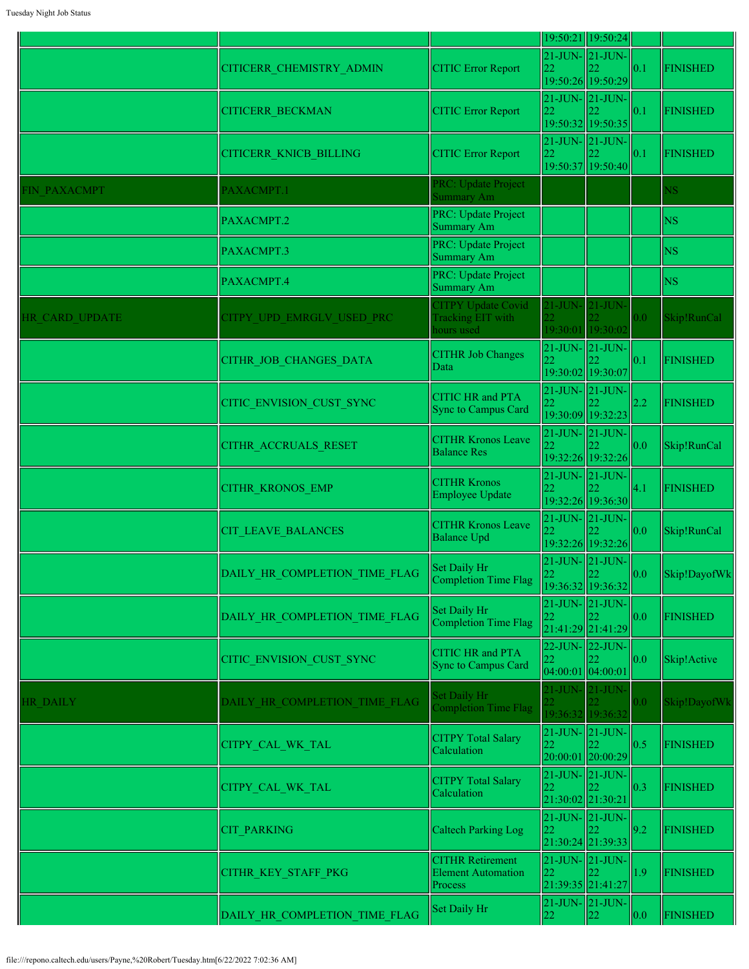|                       |                               |                                                                 |                           | 19:50:21 19:50:24                                                 |                  |                          |
|-----------------------|-------------------------------|-----------------------------------------------------------------|---------------------------|-------------------------------------------------------------------|------------------|--------------------------|
|                       | CITICERR CHEMISTRY ADMIN      | <b>CITIC Error Report</b>                                       | 22                        | 21-JUN- 21-JUN-<br>19:50:26 19:50:29                              | 0.1              | <b>FINISHED</b>          |
|                       | <b>CITICERR BECKMAN</b>       | <b>CITIC Error Report</b>                                       | 22                        | $21$ -JUN- $21$ -JUN-<br>19:50:32 19:50:35                        | 0.1              | <b>FINISHED</b>          |
|                       | <b>CITICERR KNICB BILLING</b> | <b>CITIC Error Report</b>                                       | 22                        | $21$ -JUN- $21$ -JUN-<br>19:50:37 19:50:40                        | 0.1              | <b>FINISHED</b>          |
| <b>FIN PAXACMPT</b>   | PAXACMPT.1                    | PRC: Update Project<br><b>Summary Am</b>                        |                           |                                                                   |                  | NS                       |
|                       | PAXACMPT.2                    | PRC: Update Project<br>Summary Am                               |                           |                                                                   |                  | <b>NS</b>                |
|                       | PAXACMPT.3                    | PRC: Update Project<br>Summary Am                               |                           |                                                                   |                  | <b>NS</b>                |
|                       | PAXACMPT.4                    | PRC: Update Project<br>Summary Am                               |                           |                                                                   |                  | <b>NS</b>                |
| <b>HR CARD UPDATE</b> | CITPY UPD EMRGLV USED PRC     | <b>CITPY Update Covid</b><br>Tracking EIT with<br>hours used    |                           | $21$ -JUN- $21$ -JUN-<br>19:30:01 19:30:02                        | 0.0 <sub>1</sub> | Skip!RunCal              |
|                       | CITHR JOB CHANGES DATA        | <b>CITHR Job Changes</b><br>Data                                |                           | $21$ -JUN- $\ 21$ -JUN-<br>19:30:02 19:30:07                      | 0.1              | <b>FINISHED</b>          |
|                       | CITIC ENVISION CUST SYNC      | <b>CITIC HR</b> and PTA<br>Sync to Campus Card                  | 22                        | $21$ -JUN- $\vert 21$ -JUN- $\vert$<br>19:30:09 19:32:23          | 2.2              | <b>FINISHED</b>          |
|                       | CITHR ACCRUALS RESET          | <b>CITHR Kronos Leave</b><br><b>Balance Res</b>                 | 22                        | $21$ -JUN- $ 21$ -JUN-<br>19:32:26 19:32:26                       | 0.0              | Skip!RunCal              |
|                       | <b>CITHR KRONOS EMP</b>       | <b>CITHR Kronos</b><br><b>Employee Update</b>                   | 22                        | $21$ -JUN- $\vert$ 21-JUN-<br>19:32:26 19:36:30                   | $ 4.1\rangle$    | <b>FINISHED</b>          |
|                       | <b>CIT LEAVE BALANCES</b>     | <b>CITHR Kronos Leave</b><br><b>Balance Upd</b>                 | 22                        | $21$ -JUN- $ 21$ -JUN- $ $<br>19:32:26 19:32:26                   | 0.0              | Skip!RunCal              |
|                       | DAILY_HR_COMPLETION_TIME_FLAG | Set Daily Hr<br>Completion Time Flag                            | $22^{\circ}$              | $21$ -JUN- $\vert$ 21-JUN-<br>$\mathbf{122}$<br>19:36:32 19:36:32 |                  | $\vert$ 0.0 Skip!DayofWk |
|                       | DAILY HR COMPLETION TIME FLAG | Set Daily Hr<br>Completion Time Flag                            | 22                        | $21$ -JUN- $21$ -JUN-<br>21:41:29 21:41:29                        | 0.0              | <b>FINISHED</b>          |
|                       | CITIC ENVISION CUST SYNC      | <b>CITIC HR and PTA</b><br>Sync to Campus Card                  | 22<br>$04:00:01$ 04:00:01 | $22$ -JUN- $\vert$ 22-JUN-                                        | 0.0              | Skip!Active              |
| HR DAILY              | DAILY HR COMPLETION TIME FLAG | Set Daily Hr<br><b>Completion Time Flag</b>                     | 21-JUN- 21-JUN-           | 19:36:32 19:36:32                                                 | 0.0              | Skip!DayofWk             |
|                       | CITPY_CAL_WK_TAL              | <b>CITPY Total Salary</b><br>Calculation                        | 22                        | $21$ -JUN- $\vert$ 21-JUN- $\vert$<br>20:00:01 20:00:29           | 0.5              | <b>FINISHED</b>          |
|                       | CITPY_CAL_WK_TAL              | <b>CITPY Total Salary</b><br>Calculation                        | 22<br>21:30:02 21:30:21   | $21$ -JUN- $\vert$ 21-JUN-                                        | 0.3              | <b>FINISHED</b>          |
|                       | <b>CIT PARKING</b>            | <b>Caltech Parking Log</b>                                      | 22                        | $21$ -JUN- $21$ -JUN-<br>21:30:24 21:39:33                        | 9.2              | <b>FINISHED</b>          |
|                       | CITHR_KEY_STAFF_PKG           | <b>CITHR Retirement</b><br><b>Element Automation</b><br>Process | 22                        | $21$ -JUN- $\vert$ 21-JUN-<br>21:39:35 21:41:27                   | $ 1.9\rangle$    | <b>FINISHED</b>          |
|                       | DAILY HR COMPLETION TIME FLAG | Set Daily Hr                                                    | 22                        | $21$ -JUN- $\vert$ 21-JUN-<br>22                                  | 0.0              | <b>FINISHED</b>          |